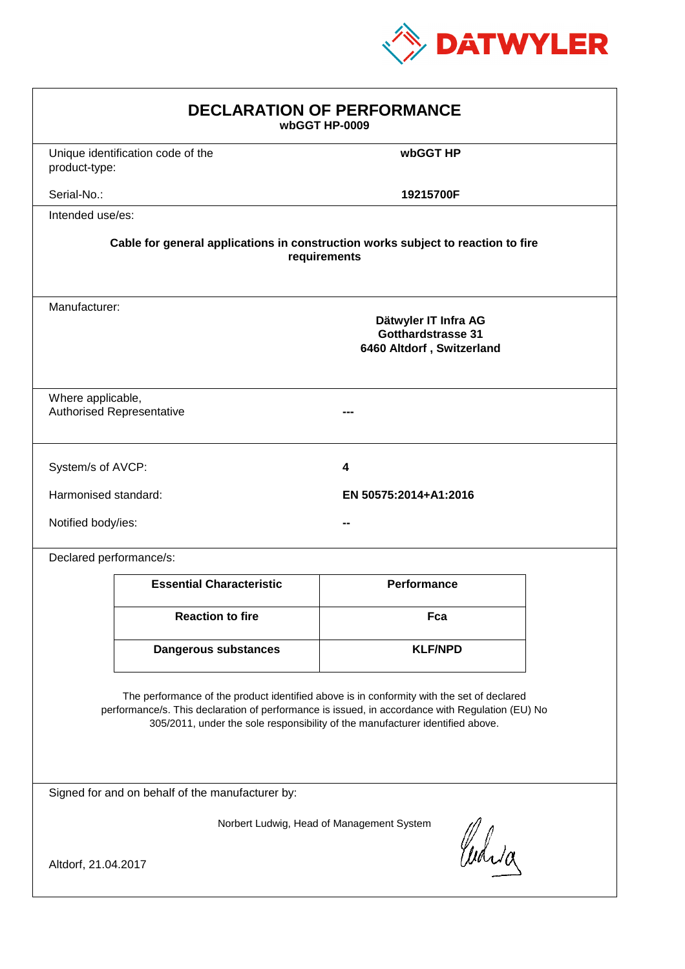

| <b>DECLARATION OF PERFORMANCE</b><br>wbGGT HP-0009                                                                                                                                                                                                                            |                                                                                          |                    |  |  |
|-------------------------------------------------------------------------------------------------------------------------------------------------------------------------------------------------------------------------------------------------------------------------------|------------------------------------------------------------------------------------------|--------------------|--|--|
| product-type:                                                                                                                                                                                                                                                                 | Unique identification code of the                                                        | wbGGT HP           |  |  |
| Serial-No.:                                                                                                                                                                                                                                                                   |                                                                                          | 19215700F          |  |  |
| Intended use/es:                                                                                                                                                                                                                                                              |                                                                                          |                    |  |  |
| Cable for general applications in construction works subject to reaction to fire<br>requirements                                                                                                                                                                              |                                                                                          |                    |  |  |
|                                                                                                                                                                                                                                                                               | Manufacturer:<br>Dätwyler IT Infra AG<br>Gotthardstrasse 31<br>6460 Altdorf, Switzerland |                    |  |  |
| Where applicable,<br><b>Authorised Representative</b>                                                                                                                                                                                                                         |                                                                                          |                    |  |  |
| System/s of AVCP:                                                                                                                                                                                                                                                             |                                                                                          | 4                  |  |  |
|                                                                                                                                                                                                                                                                               | Harmonised standard:<br>EN 50575:2014+A1:2016                                            |                    |  |  |
|                                                                                                                                                                                                                                                                               | Notified body/ies:                                                                       |                    |  |  |
| Declared performance/s:                                                                                                                                                                                                                                                       |                                                                                          |                    |  |  |
|                                                                                                                                                                                                                                                                               | <b>Essential Characteristic</b>                                                          | <b>Performance</b> |  |  |
|                                                                                                                                                                                                                                                                               | <b>Reaction to fire</b>                                                                  | Fca                |  |  |
|                                                                                                                                                                                                                                                                               | <b>Dangerous substances</b>                                                              | <b>KLF/NPD</b>     |  |  |
| The performance of the product identified above is in conformity with the set of declared<br>performance/s. This declaration of performance is issued, in accordance with Regulation (EU) No<br>305/2011, under the sole responsibility of the manufacturer identified above. |                                                                                          |                    |  |  |
| Signed for and on behalf of the manufacturer by:                                                                                                                                                                                                                              |                                                                                          |                    |  |  |
| Norbert Ludwig, Head of Management System<br>Curia<br>Altdorf, 21.04.2017                                                                                                                                                                                                     |                                                                                          |                    |  |  |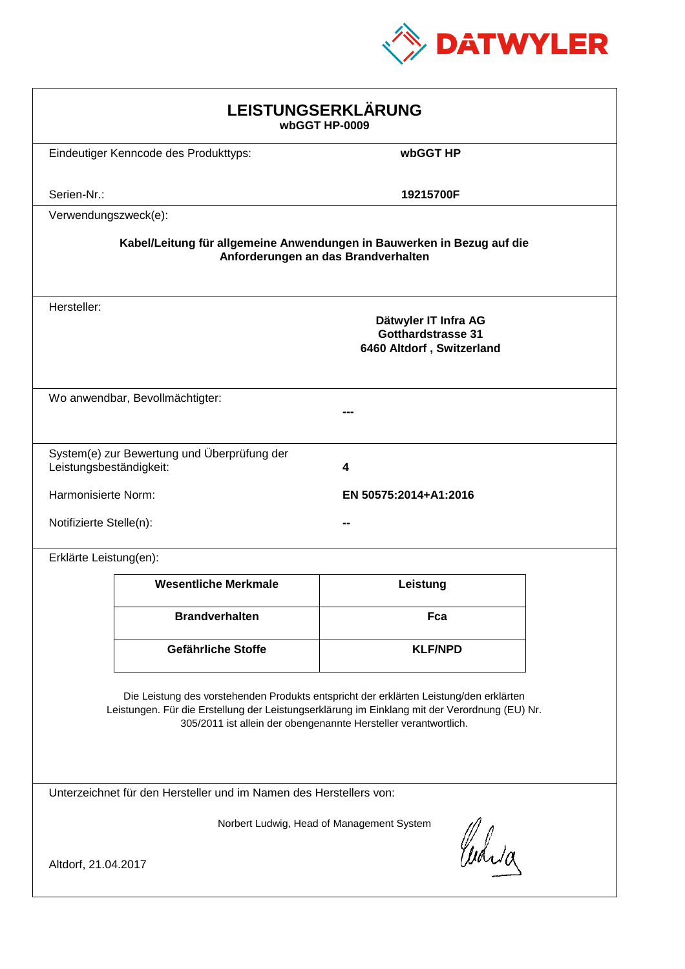

| LEISTUNGSERKLÄRUNG<br>wbGGT HP-0009                                                                                                                                                                                                                        |                                             |                                                                                |  |  |
|------------------------------------------------------------------------------------------------------------------------------------------------------------------------------------------------------------------------------------------------------------|---------------------------------------------|--------------------------------------------------------------------------------|--|--|
|                                                                                                                                                                                                                                                            | Eindeutiger Kenncode des Produkttyps:       | wbGGT HP                                                                       |  |  |
| Serien-Nr.:                                                                                                                                                                                                                                                |                                             | 19215700F                                                                      |  |  |
| Verwendungszweck(e):                                                                                                                                                                                                                                       |                                             |                                                                                |  |  |
| Kabel/Leitung für allgemeine Anwendungen in Bauwerken in Bezug auf die<br>Anforderungen an das Brandverhalten                                                                                                                                              |                                             |                                                                                |  |  |
| Hersteller:                                                                                                                                                                                                                                                |                                             | Dätwyler IT Infra AG<br><b>Gotthardstrasse 31</b><br>6460 Altdorf, Switzerland |  |  |
|                                                                                                                                                                                                                                                            | Wo anwendbar, Bevollmächtigter:             |                                                                                |  |  |
| Leistungsbeständigkeit:                                                                                                                                                                                                                                    | System(e) zur Bewertung und Überprüfung der | 4                                                                              |  |  |
| Harmonisierte Norm:                                                                                                                                                                                                                                        |                                             | EN 50575:2014+A1:2016                                                          |  |  |
|                                                                                                                                                                                                                                                            | Notifizierte Stelle(n):                     |                                                                                |  |  |
| Erklärte Leistung(en):                                                                                                                                                                                                                                     |                                             |                                                                                |  |  |
|                                                                                                                                                                                                                                                            | <b>Wesentliche Merkmale</b>                 | Leistung                                                                       |  |  |
|                                                                                                                                                                                                                                                            | <b>Brandverhalten</b>                       | Fca                                                                            |  |  |
|                                                                                                                                                                                                                                                            | Gefährliche Stoffe                          | <b>KLF/NPD</b>                                                                 |  |  |
| Die Leistung des vorstehenden Produkts entspricht der erklärten Leistung/den erklärten<br>Leistungen. Für die Erstellung der Leistungserklärung im Einklang mit der Verordnung (EU) Nr.<br>305/2011 ist allein der obengenannte Hersteller verantwortlich. |                                             |                                                                                |  |  |
| Unterzeichnet für den Hersteller und im Namen des Herstellers von:                                                                                                                                                                                         |                                             |                                                                                |  |  |
| Norbert Ludwig, Head of Management System<br>Curia<br>Altdorf, 21.04.2017                                                                                                                                                                                  |                                             |                                                                                |  |  |
|                                                                                                                                                                                                                                                            |                                             |                                                                                |  |  |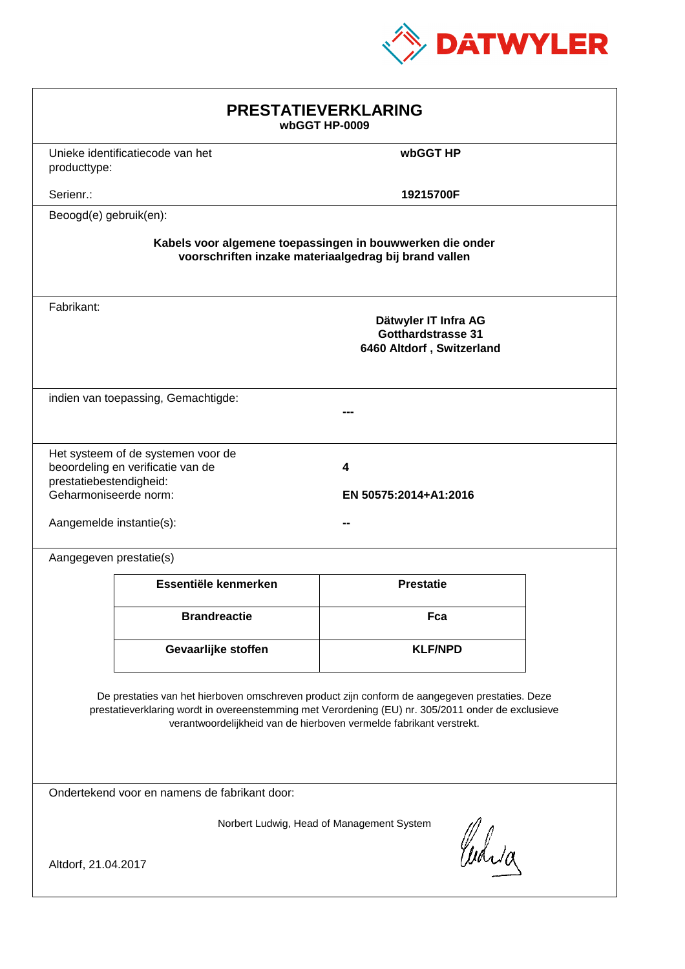

| <b>PRESTATIEVERKLARING</b><br>wbGGT HP-0009                                                                                                                                                                                                                                 |                                                                         |                  |  |  |
|-----------------------------------------------------------------------------------------------------------------------------------------------------------------------------------------------------------------------------------------------------------------------------|-------------------------------------------------------------------------|------------------|--|--|
| producttype:                                                                                                                                                                                                                                                                | Unieke identificatiecode van het                                        | wbGGT HP         |  |  |
| Serienr.:                                                                                                                                                                                                                                                                   |                                                                         | 19215700F        |  |  |
| Beoogd(e) gebruik(en):                                                                                                                                                                                                                                                      |                                                                         |                  |  |  |
| Kabels voor algemene toepassingen in bouwwerken die onder<br>voorschriften inzake materiaalgedrag bij brand vallen                                                                                                                                                          |                                                                         |                  |  |  |
| Fabrikant:                                                                                                                                                                                                                                                                  | Dätwyler IT Infra AG<br>Gotthardstrasse 31<br>6460 Altdorf, Switzerland |                  |  |  |
| indien van toepassing, Gemachtigde:                                                                                                                                                                                                                                         |                                                                         |                  |  |  |
| Het systeem of de systemen voor de<br>beoordeling en verificatie van de<br>4<br>prestatiebestendigheid:<br>Geharmoniseerde norm:<br>EN 50575:2014+A1:2016<br>Aangemelde instantie(s):                                                                                       |                                                                         |                  |  |  |
| Aangegeven prestatie(s)                                                                                                                                                                                                                                                     |                                                                         |                  |  |  |
|                                                                                                                                                                                                                                                                             | Essentiële kenmerken                                                    | <b>Prestatie</b> |  |  |
|                                                                                                                                                                                                                                                                             | <b>Brandreactie</b>                                                     | Fca              |  |  |
|                                                                                                                                                                                                                                                                             | Gevaarlijke stoffen                                                     | <b>KLF/NPD</b>   |  |  |
| De prestaties van het hierboven omschreven product zijn conform de aangegeven prestaties. Deze<br>prestatieverklaring wordt in overeenstemming met Verordening (EU) nr. 305/2011 onder de exclusieve<br>verantwoordelijkheid van de hierboven vermelde fabrikant verstrekt. |                                                                         |                  |  |  |
| Ondertekend voor en namens de fabrikant door:                                                                                                                                                                                                                               |                                                                         |                  |  |  |
| Norbert Ludwig, Head of Management System<br>Curia<br>Altdorf, 21.04.2017                                                                                                                                                                                                   |                                                                         |                  |  |  |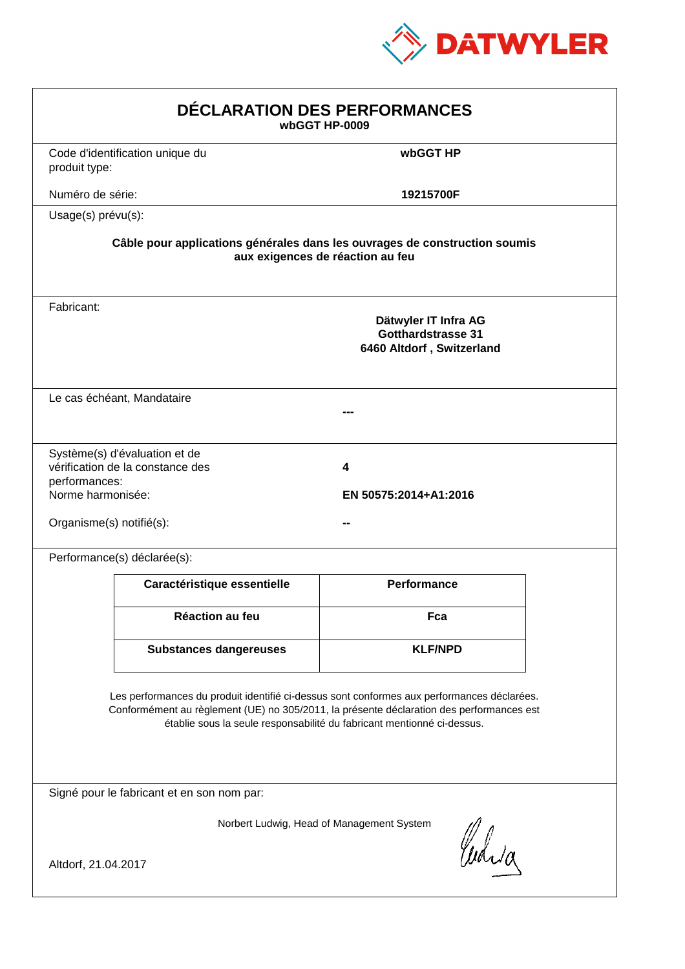

| DÉCLARATION DES PERFORMANCES<br>wbGGT HP-0009                                                                                                                                                                                                                    |                                                                                                                |                                                                                |  |  |  |
|------------------------------------------------------------------------------------------------------------------------------------------------------------------------------------------------------------------------------------------------------------------|----------------------------------------------------------------------------------------------------------------|--------------------------------------------------------------------------------|--|--|--|
| produit type:                                                                                                                                                                                                                                                    | Code d'identification unique du                                                                                | wbGGT HP                                                                       |  |  |  |
| Numéro de série:                                                                                                                                                                                                                                                 |                                                                                                                | 19215700F                                                                      |  |  |  |
| Usage(s) prévu(s):                                                                                                                                                                                                                                               |                                                                                                                |                                                                                |  |  |  |
|                                                                                                                                                                                                                                                                  | Câble pour applications générales dans les ouvrages de construction soumis<br>aux exigences de réaction au feu |                                                                                |  |  |  |
| Fabricant:                                                                                                                                                                                                                                                       |                                                                                                                | Dätwyler IT Infra AG<br><b>Gotthardstrasse 31</b><br>6460 Altdorf, Switzerland |  |  |  |
|                                                                                                                                                                                                                                                                  | Le cas échéant, Mandataire                                                                                     |                                                                                |  |  |  |
| performances:<br>Norme harmonisée:<br>Organisme(s) notifié(s):                                                                                                                                                                                                   | Système(s) d'évaluation et de<br>vérification de la constance des                                              | 4<br>EN 50575:2014+A1:2016                                                     |  |  |  |
|                                                                                                                                                                                                                                                                  | Performance(s) déclarée(s):                                                                                    |                                                                                |  |  |  |
|                                                                                                                                                                                                                                                                  | Caractéristique essentielle                                                                                    | <b>Performance</b>                                                             |  |  |  |
|                                                                                                                                                                                                                                                                  | <b>Réaction au feu</b>                                                                                         | Fca                                                                            |  |  |  |
|                                                                                                                                                                                                                                                                  | <b>Substances dangereuses</b>                                                                                  | <b>KLF/NPD</b>                                                                 |  |  |  |
| Les performances du produit identifié ci-dessus sont conformes aux performances déclarées.<br>Conformément au règlement (UE) no 305/2011, la présente déclaration des performances est<br>établie sous la seule responsabilité du fabricant mentionné ci-dessus. |                                                                                                                |                                                                                |  |  |  |
| Signé pour le fabricant et en son nom par:                                                                                                                                                                                                                       |                                                                                                                |                                                                                |  |  |  |
| Altdorf, 21.04.2017                                                                                                                                                                                                                                              |                                                                                                                | Norbert Ludwig, Head of Management System<br>Curia                             |  |  |  |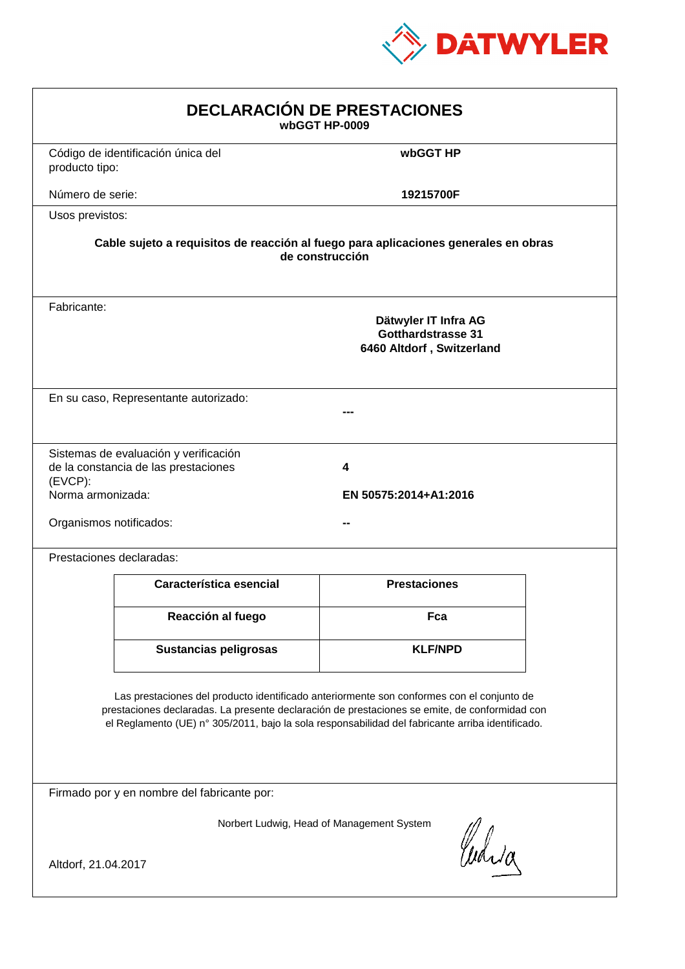

| <b>DECLARACIÓN DE PRESTACIONES</b><br>wbGGT HP-0009                                                                                                                                                                                                                                            |                                                                                                        |                     |  |  |  |
|------------------------------------------------------------------------------------------------------------------------------------------------------------------------------------------------------------------------------------------------------------------------------------------------|--------------------------------------------------------------------------------------------------------|---------------------|--|--|--|
| producto tipo:                                                                                                                                                                                                                                                                                 | Código de identificación única del                                                                     | wbGGT HP            |  |  |  |
| Número de serie:                                                                                                                                                                                                                                                                               |                                                                                                        | 19215700F           |  |  |  |
| Usos previstos:                                                                                                                                                                                                                                                                                |                                                                                                        |                     |  |  |  |
|                                                                                                                                                                                                                                                                                                | Cable sujeto a requisitos de reacción al fuego para aplicaciones generales en obras<br>de construcción |                     |  |  |  |
| Fabricante:                                                                                                                                                                                                                                                                                    | Dätwyler IT Infra AG<br>Gotthardstrasse 31<br>6460 Altdorf, Switzerland                                |                     |  |  |  |
|                                                                                                                                                                                                                                                                                                | En su caso, Representante autorizado:                                                                  |                     |  |  |  |
| Sistemas de evaluación y verificación<br>de la constancia de las prestaciones<br>4<br>$(EVCP)$ :<br>Norma armonizada:<br>EN 50575:2014+A1:2016<br>Organismos notificados:                                                                                                                      |                                                                                                        |                     |  |  |  |
|                                                                                                                                                                                                                                                                                                | Prestaciones declaradas:                                                                               |                     |  |  |  |
|                                                                                                                                                                                                                                                                                                | Característica esencial                                                                                | <b>Prestaciones</b> |  |  |  |
|                                                                                                                                                                                                                                                                                                | Reacción al fuego                                                                                      | Fca                 |  |  |  |
|                                                                                                                                                                                                                                                                                                | <b>Sustancias peligrosas</b>                                                                           | <b>KLF/NPD</b>      |  |  |  |
| Las prestaciones del producto identificado anteriormente son conformes con el conjunto de<br>prestaciones declaradas. La presente declaración de prestaciones se emite, de conformidad con<br>el Reglamento (UE) nº 305/2011, bajo la sola responsabilidad del fabricante arriba identificado. |                                                                                                        |                     |  |  |  |
| Firmado por y en nombre del fabricante por:                                                                                                                                                                                                                                                    |                                                                                                        |                     |  |  |  |
| Norbert Ludwig, Head of Management System<br>anda<br>Altdorf, 21.04.2017                                                                                                                                                                                                                       |                                                                                                        |                     |  |  |  |